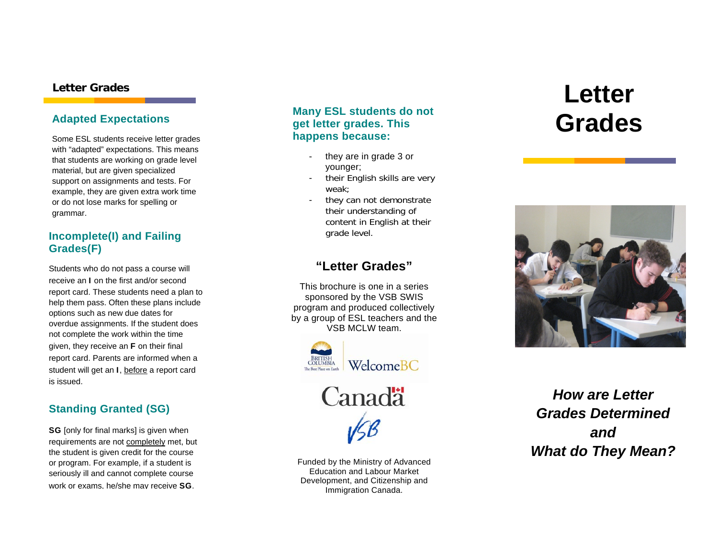### **Adapted Expectations**

Some ESL students receive letter grades with "adapted" expectations. This means that students are working on grade level material, but are given specialized support on assignments and tests. For example, they are given extra work time or do not lose marks for spelling or grammar.

### **Incomplete(I) and Failing and Server All and Failing and Server All and Server All and Server All and Server All and Server All and Server All and Server All and Server All and Server All and Server All and Server All and Grades(F)**

Students who do not pass a course will receive an I on the first and/or second report card. These students need a plan to help them pass. Often these plans include options such as new due dates for overdue assignments. If the student does not complete the work within the time given, they receive an F on their final report card. Parents are informed when a student will get an I, before a report card is issued.

### **Standing Granted (SG)**

SG [only for final marks] is given when requirements are not completely met, but the student is given credit for the course or program. For example, if a student is seriously ill and cannot complete course work or exams, he/she may receive SG.

### **Many ESL students do not get letter grades. This happens because:**

- they are in grade 3 or younger;
- their English skills are very weak;
- they can not demonstrate their understanding of content in English at their

### **"Letter Grades"**

This brochure is one in a series sponsored by the VSB SWIS program and produced collectively by a group of ESL teachers and the VSB MCLW team.





Funded by the Ministry of Advanced Education and Labour Market Development, and Citizenship and Immigration Canada.

# **Letter Grades Letter Crades Grades**



*How are Letter Grades Determined and What do They Mean?*